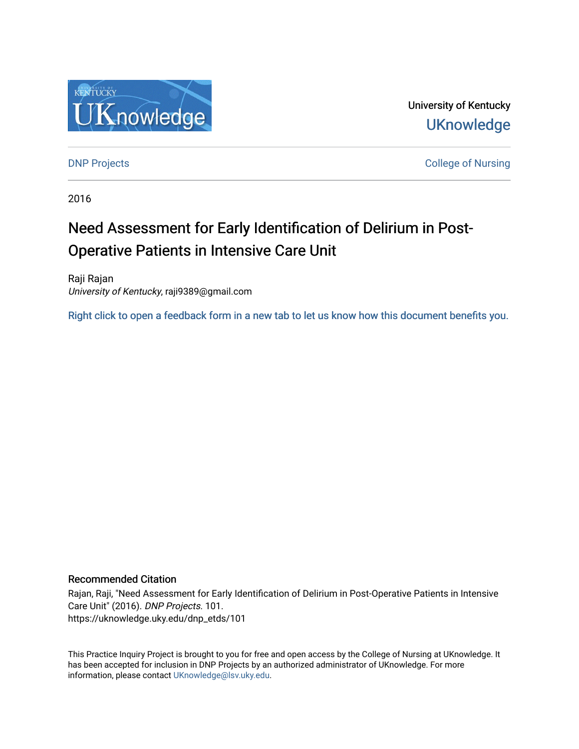

University of Kentucky **UKnowledge** 

**DNP Projects** College of Nursing

2016

# Need Assessment for Early Identification of Delirium in Post-Operative Patients in Intensive Care Unit

Raji Rajan University of Kentucky, raji9389@gmail.com

[Right click to open a feedback form in a new tab to let us know how this document benefits you.](https://uky.az1.qualtrics.com/jfe/form/SV_9mq8fx2GnONRfz7)

#### Recommended Citation

Rajan, Raji, "Need Assessment for Early Identification of Delirium in Post-Operative Patients in Intensive Care Unit" (2016). DNP Projects. 101. https://uknowledge.uky.edu/dnp\_etds/101

This Practice Inquiry Project is brought to you for free and open access by the College of Nursing at UKnowledge. It has been accepted for inclusion in DNP Projects by an authorized administrator of UKnowledge. For more information, please contact [UKnowledge@lsv.uky.edu](mailto:UKnowledge@lsv.uky.edu).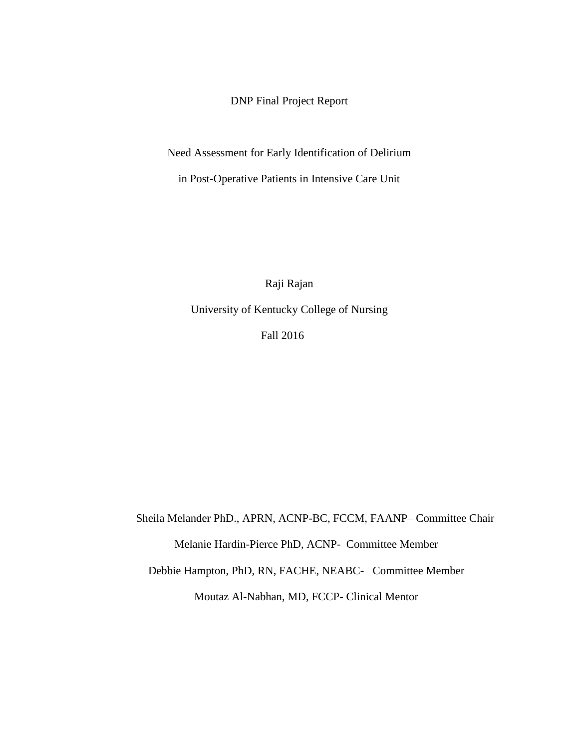DNP Final Project Report

Need Assessment for Early Identification of Delirium

in Post-Operative Patients in Intensive Care Unit

Raji Rajan

University of Kentucky College of Nursing

Fall 2016

Sheila Melander PhD., APRN, ACNP-BC, FCCM, FAANP– Committee Chair Melanie Hardin-Pierce PhD, ACNP- Committee Member Debbie Hampton, PhD, RN, FACHE, NEABC- Committee Member Moutaz Al-Nabhan, MD, FCCP- Clinical Mentor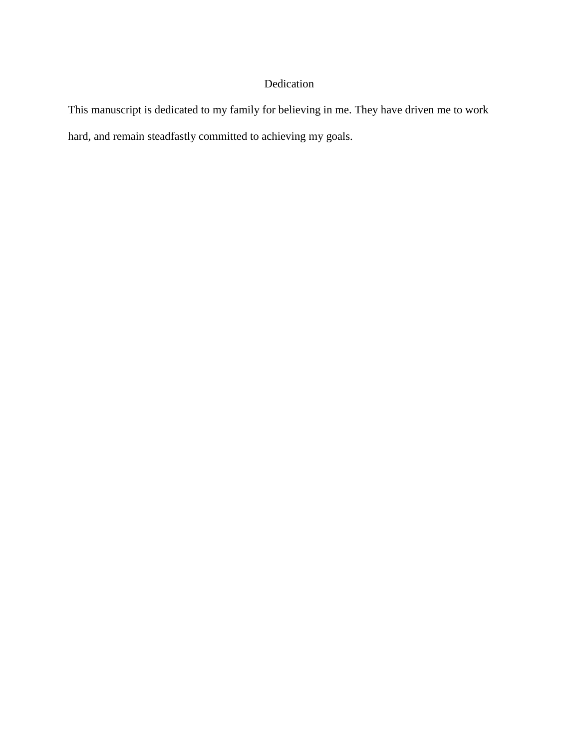### Dedication

This manuscript is dedicated to my family for believing in me. They have driven me to work hard, and remain steadfastly committed to achieving my goals.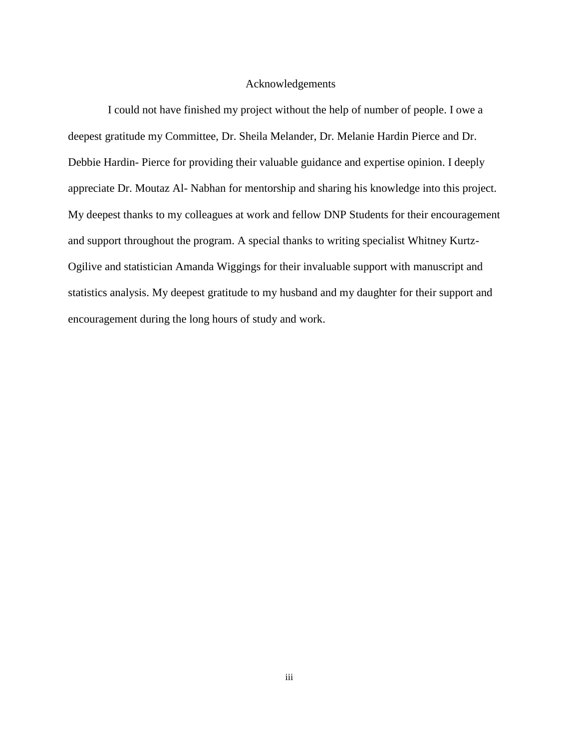#### <span id="page-3-0"></span>Acknowledgements

 I could not have finished my project without the help of number of people. I owe a deepest gratitude my Committee, Dr. Sheila Melander, Dr. Melanie Hardin Pierce and Dr. Debbie Hardin- Pierce for providing their valuable guidance and expertise opinion. I deeply appreciate Dr. Moutaz Al- Nabhan for mentorship and sharing his knowledge into this project. My deepest thanks to my colleagues at work and fellow DNP Students for their encouragement and support throughout the program. A special thanks to writing specialist Whitney Kurtz-Ogilive and statistician Amanda Wiggings for their invaluable support with manuscript and statistics analysis. My deepest gratitude to my husband and my daughter for their support and encouragement during the long hours of study and work.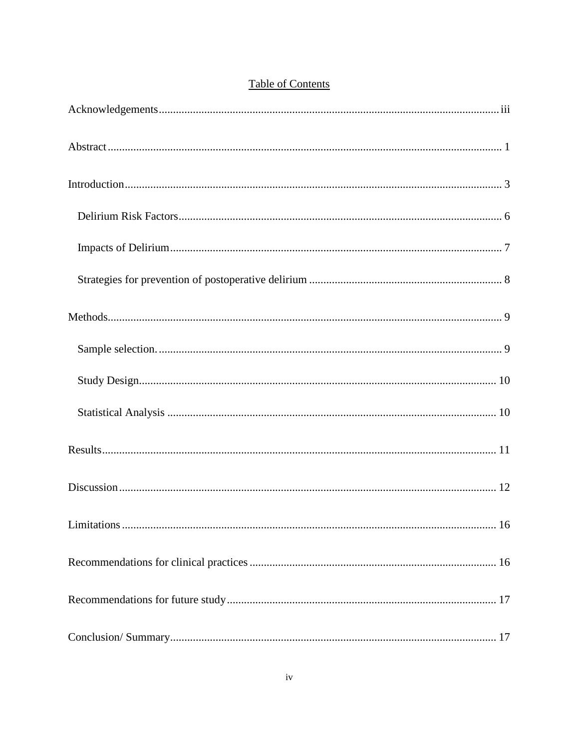## **Table of Contents**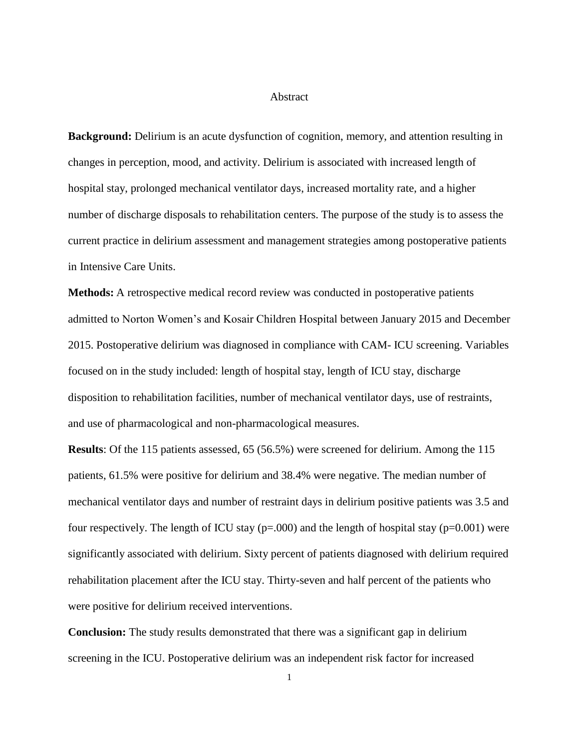#### Abstract

<span id="page-6-0"></span>**Background:** Delirium is an acute dysfunction of cognition, memory, and attention resulting in changes in perception, mood, and activity. Delirium is associated with increased length of hospital stay, prolonged mechanical ventilator days, increased mortality rate, and a higher number of discharge disposals to rehabilitation centers. The purpose of the study is to assess the current practice in delirium assessment and management strategies among postoperative patients in Intensive Care Units.

**Methods:** A retrospective medical record review was conducted in postoperative patients admitted to Norton Women's and Kosair Children Hospital between January 2015 and December 2015. Postoperative delirium was diagnosed in compliance with CAM- ICU screening. Variables focused on in the study included: length of hospital stay, length of ICU stay, discharge disposition to rehabilitation facilities, number of mechanical ventilator days, use of restraints, and use of pharmacological and non-pharmacological measures.

**Results**: Of the 115 patients assessed, 65 (56.5%) were screened for delirium. Among the 115 patients, 61.5% were positive for delirium and 38.4% were negative. The median number of mechanical ventilator days and number of restraint days in delirium positive patients was 3.5 and four respectively. The length of ICU stay ( $p=0.000$ ) and the length of hospital stay ( $p=0.001$ ) were significantly associated with delirium. Sixty percent of patients diagnosed with delirium required rehabilitation placement after the ICU stay. Thirty-seven and half percent of the patients who were positive for delirium received interventions.

**Conclusion:** The study results demonstrated that there was a significant gap in delirium screening in the ICU. Postoperative delirium was an independent risk factor for increased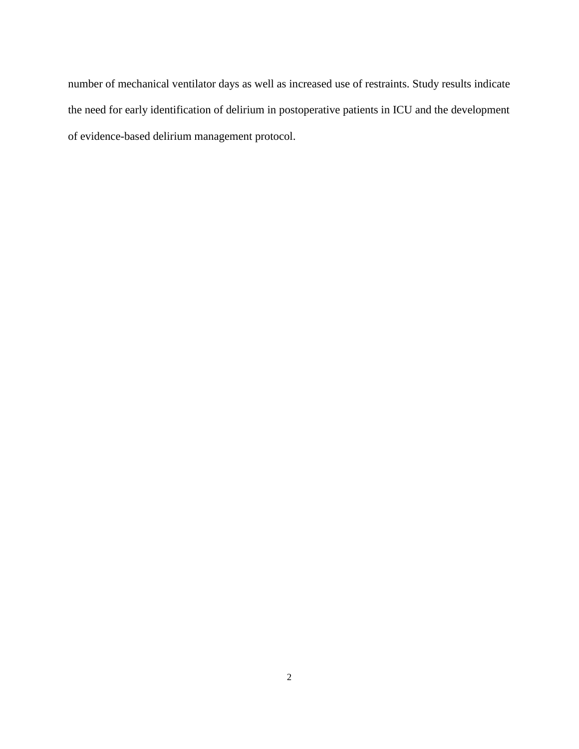number of mechanical ventilator days as well as increased use of restraints. Study results indicate the need for early identification of delirium in postoperative patients in ICU and the development of evidence-based delirium management protocol.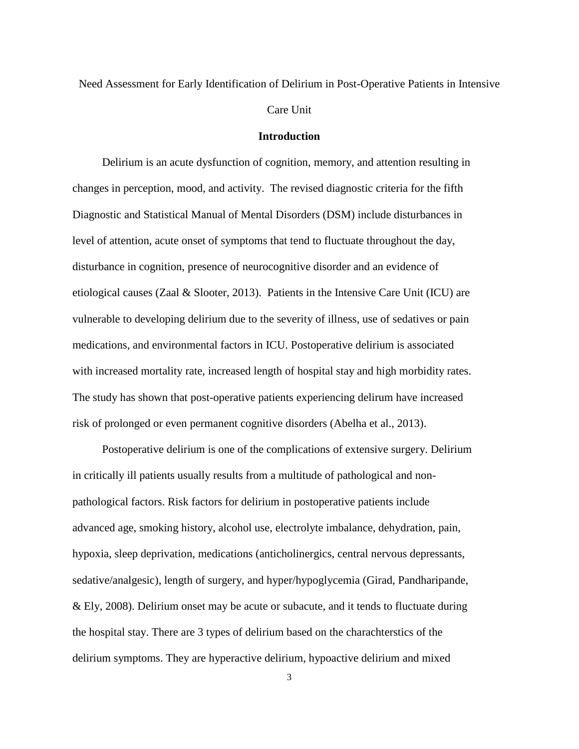Need Assessment for Early Identification of Delirium in Post-Operative Patients in Intensive

#### Care Unit

#### **Introduction**

<span id="page-8-0"></span>Delirium is an acute dysfunction of cognition, memory, and attention resulting in changes in perception, mood, and activity. The revised diagnostic criteria for the fifth Diagnostic and Statistical Manual of Mental Disorders (DSM) include disturbances in level of attention, acute onset of symptoms that tend to fluctuate throughout the day, disturbance in cognition, presence of neurocognitive disorder and an evidence of etiological causes (Zaal & Slooter, 2013). Patients in the Intensive Care Unit (ICU) are vulnerable to developing delirium due to the severity of illness, use of sedatives or pain medications, and environmental factors in ICU. Postoperative delirium is associated with increased mortality rate, increased length of hospital stay and high morbidity rates. The study has shown that post-operative patients experiencing delirum have increased risk of prolonged or even permanent cognitive disorders (Abelha et al., 2013).

Postoperative delirium is one of the complications of extensive surgery. Delirium in critically ill patients usually results from a multitude of pathological and nonpathological factors. Risk factors for delirium in postoperative patients include advanced age, smoking history, alcohol use, electrolyte imbalance, dehydration, pain, hypoxia, sleep deprivation, medications (anticholinergics, central nervous depressants, sedative/analgesic), length of surgery, and hyper/hypoglycemia (Girad, Pandharipande, & Ely, 2008). Delirium onset may be acute or subacute, and it tends to fluctuate during the hospital stay. There are 3 types of delirium based on the charachterstics of the delirium symptoms. They are hyperactive delirium, hypoactive delirium and mixed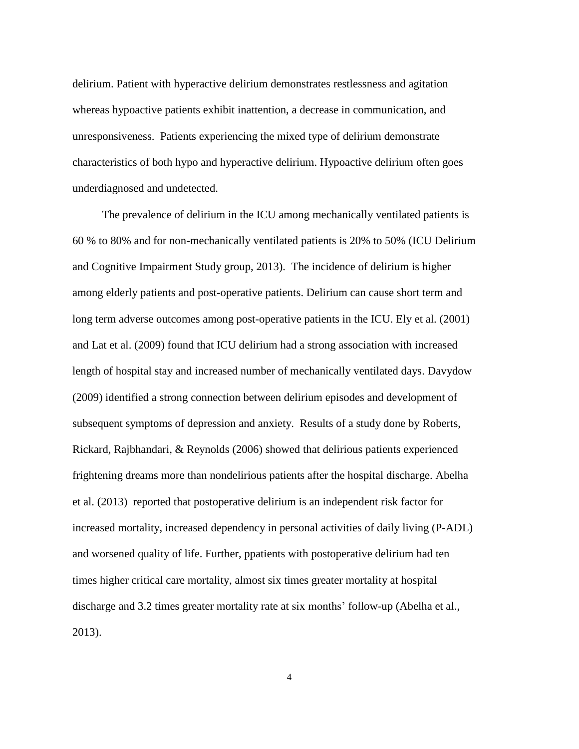delirium. Patient with hyperactive delirium demonstrates restlessness and agitation whereas hypoactive patients exhibit inattention, a decrease in communication, and unresponsiveness. Patients experiencing the mixed type of delirium demonstrate characteristics of both hypo and hyperactive delirium. Hypoactive delirium often goes underdiagnosed and undetected.

The prevalence of delirium in the ICU among mechanically ventilated patients is 60 % to 80% and for non-mechanically ventilated patients is 20% to 50% (ICU Delirium and Cognitive Impairment Study group, 2013). The incidence of delirium is higher among elderly patients and post-operative patients. Delirium can cause short term and long term adverse outcomes among post-operative patients in the ICU. Ely et al. (2001) and Lat et al. (2009) found that ICU delirium had a strong association with increased length of hospital stay and increased number of mechanically ventilated days. Davydow (2009) identified a strong connection between delirium episodes and development of subsequent symptoms of depression and anxiety. Results of a study done by Roberts, Rickard, Rajbhandari, & Reynolds (2006) showed that delirious patients experienced frightening dreams more than nondelirious patients after the hospital discharge. Abelha et al. (2013) reported that postoperative delirium is an independent risk factor for increased mortality, increased dependency in personal activities of daily living (P-ADL) and worsened quality of life. Further, ppatients with postoperative delirium had ten times higher critical care mortality, almost six times greater mortality at hospital discharge and 3.2 times greater mortality rate at six months' follow-up (Abelha et al., 2013).

4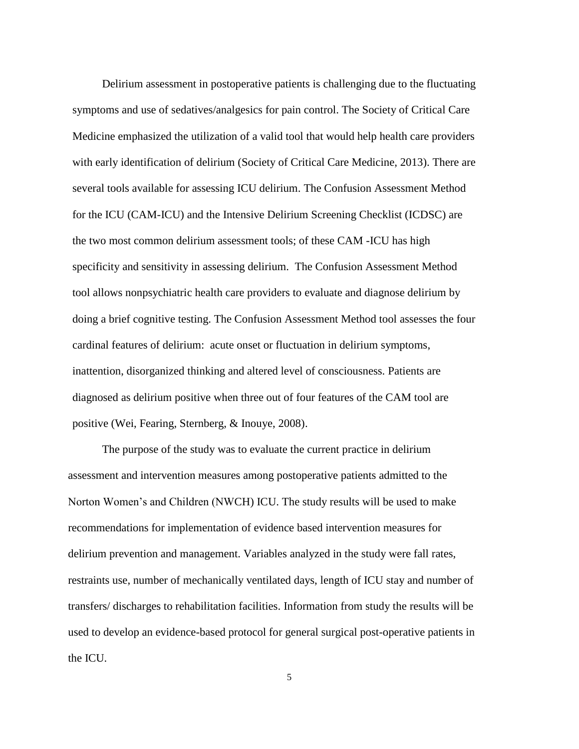Delirium assessment in postoperative patients is challenging due to the fluctuating symptoms and use of sedatives/analgesics for pain control. The Society of Critical Care Medicine emphasized the utilization of a valid tool that would help health care providers with early identification of delirium (Society of Critical Care Medicine, 2013). There are several tools available for assessing ICU delirium. The Confusion Assessment Method for the ICU (CAM-ICU) and the Intensive Delirium Screening Checklist (ICDSC) are the two most common delirium assessment tools; of these CAM -ICU has high specificity and sensitivity in assessing delirium. The Confusion Assessment Method tool allows nonpsychiatric health care providers to evaluate and diagnose delirium by doing a brief cognitive testing. The Confusion Assessment Method tool assesses the four cardinal features of delirium: acute onset or fluctuation in delirium symptoms, inattention, disorganized thinking and altered level of consciousness. Patients are diagnosed as delirium positive when three out of four features of the CAM tool are positive (Wei, Fearing, Sternberg, & Inouye, 2008).

The purpose of the study was to evaluate the current practice in delirium assessment and intervention measures among postoperative patients admitted to the Norton Women's and Children (NWCH) ICU. The study results will be used to make recommendations for implementation of evidence based intervention measures for delirium prevention and management. Variables analyzed in the study were fall rates, restraints use, number of mechanically ventilated days, length of ICU stay and number of transfers/ discharges to rehabilitation facilities. Information from study the results will be used to develop an evidence-based protocol for general surgical post-operative patients in the ICU.

5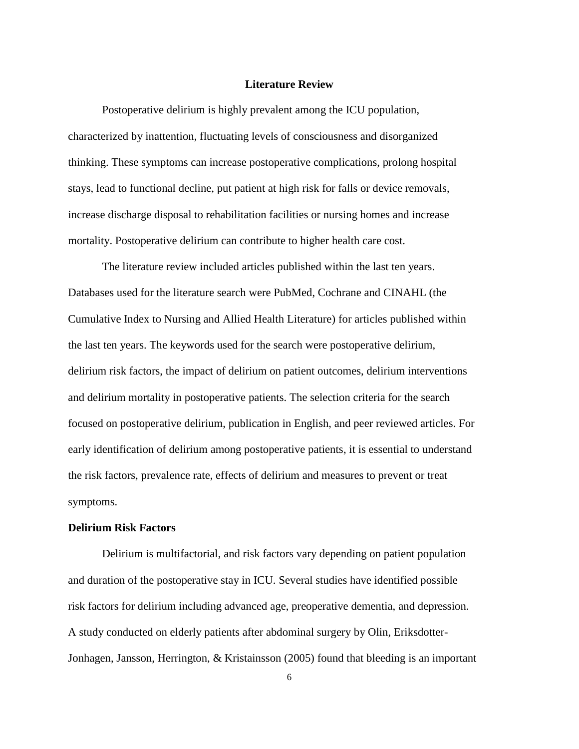#### **Literature Review**

Postoperative delirium is highly prevalent among the ICU population, characterized by inattention, fluctuating levels of consciousness and disorganized thinking. These symptoms can increase postoperative complications, prolong hospital stays, lead to functional decline, put patient at high risk for falls or device removals, increase discharge disposal to rehabilitation facilities or nursing homes and increase mortality. Postoperative delirium can contribute to higher health care cost.

The literature review included articles published within the last ten years. Databases used for the literature search were PubMed, Cochrane and CINAHL (the Cumulative Index to Nursing and Allied Health Literature) for articles published within the last ten years. The keywords used for the search were postoperative delirium, delirium risk factors, the impact of delirium on patient outcomes, delirium interventions and delirium mortality in postoperative patients. The selection criteria for the search focused on postoperative delirium, publication in English, and peer reviewed articles. For early identification of delirium among postoperative patients, it is essential to understand the risk factors, prevalence rate, effects of delirium and measures to prevent or treat symptoms.

#### <span id="page-11-0"></span>**Delirium Risk Factors**

Delirium is multifactorial, and risk factors vary depending on patient population and duration of the postoperative stay in ICU. Several studies have identified possible risk factors for delirium including advanced age, preoperative dementia, and depression. A study conducted on elderly patients after abdominal surgery by Olin, Eriksdotter-Jonhagen, Jansson, Herrington, & Kristainsson (2005) found that bleeding is an important

<sup>6</sup>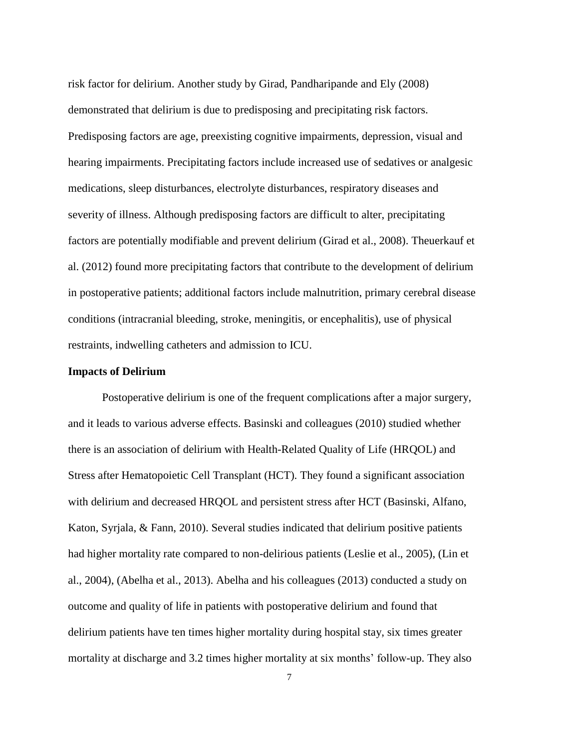risk factor for delirium. Another study by Girad, Pandharipande and Ely (2008) demonstrated that delirium is due to predisposing and precipitating risk factors. Predisposing factors are age, preexisting cognitive impairments, depression, visual and hearing impairments. Precipitating factors include increased use of sedatives or analgesic medications, sleep disturbances, electrolyte disturbances, respiratory diseases and severity of illness. Although predisposing factors are difficult to alter, precipitating factors are potentially modifiable and prevent delirium (Girad et al., 2008). Theuerkauf et al. (2012) found more precipitating factors that contribute to the development of delirium in postoperative patients; additional factors include malnutrition, primary cerebral disease conditions (intracranial bleeding, stroke, meningitis, or encephalitis), use of physical restraints, indwelling catheters and admission to ICU.

#### <span id="page-12-0"></span>**Impacts of Delirium**

Postoperative delirium is one of the frequent complications after a major surgery, and it leads to various adverse effects. Basinski and colleagues (2010) studied whether there is an association of delirium with Health-Related Quality of Life (HRQOL) and Stress after Hematopoietic Cell Transplant (HCT). They found a significant association with delirium and decreased HRQOL and persistent stress after HCT (Basinski, Alfano, Katon, Syrjala, & Fann, 2010). Several studies indicated that delirium positive patients had higher mortality rate compared to non-delirious patients (Leslie et al., 2005), (Lin et al., 2004), (Abelha et al., 2013). Abelha and his colleagues (2013) conducted a study on outcome and quality of life in patients with postoperative delirium and found that delirium patients have ten times higher mortality during hospital stay, six times greater mortality at discharge and 3.2 times higher mortality at six months' follow-up. They also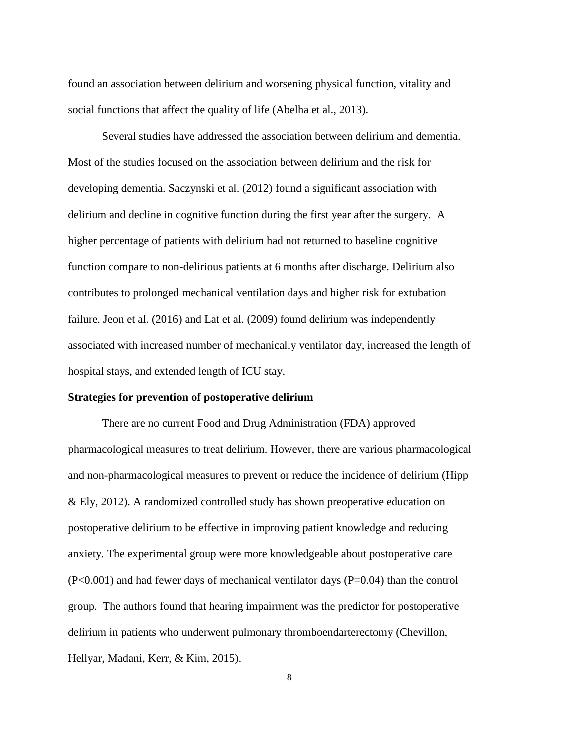found an association between delirium and worsening physical function, vitality and social functions that affect the quality of life (Abelha et al., 2013).

Several studies have addressed the association between delirium and dementia. Most of the studies focused on the association between delirium and the risk for developing dementia. Saczynski et al. (2012) found a significant association with delirium and decline in cognitive function during the first year after the surgery. A higher percentage of patients with delirium had not returned to baseline cognitive function compare to non-delirious patients at 6 months after discharge. Delirium also contributes to prolonged mechanical ventilation days and higher risk for extubation failure. Jeon et al. (2016) and Lat et al. (2009) found delirium was independently associated with increased number of mechanically ventilator day, increased the length of hospital stays, and extended length of ICU stay.

#### <span id="page-13-0"></span>**Strategies for prevention of postoperative delirium**

There are no current Food and Drug Administration (FDA) approved pharmacological measures to treat delirium. However, there are various pharmacological and non-pharmacological measures to prevent or reduce the incidence of delirium (Hipp & Ely, 2012). A randomized controlled study has shown preoperative education on postoperative delirium to be effective in improving patient knowledge and reducing anxiety. The experimental group were more knowledgeable about postoperative care (P<0.001) and had fewer days of mechanical ventilator days (P=0.04) than the control group. The authors found that hearing impairment was the predictor for postoperative delirium in patients who underwent pulmonary thromboendarterectomy (Chevillon, Hellyar, Madani, Kerr, & Kim, 2015).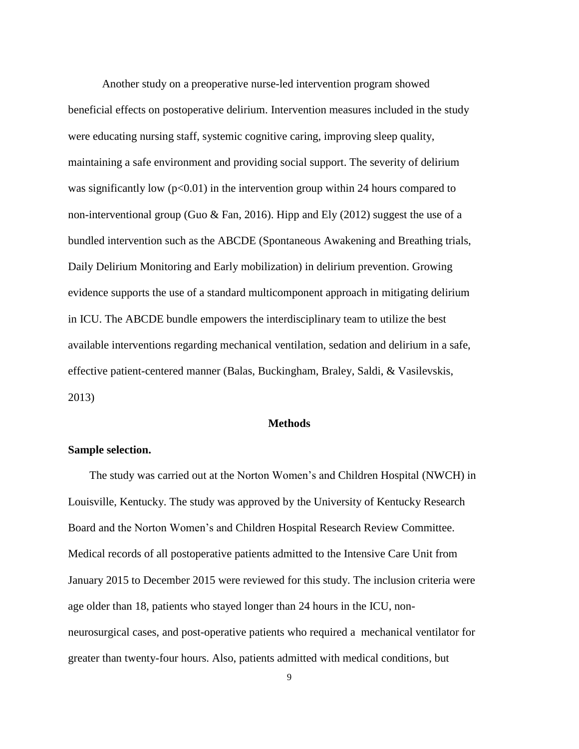Another study on a preoperative nurse-led intervention program showed beneficial effects on postoperative delirium. Intervention measures included in the study were educating nursing staff, systemic cognitive caring, improving sleep quality, maintaining a safe environment and providing social support. The severity of delirium was significantly low ( $p<0.01$ ) in the intervention group within 24 hours compared to non-interventional group (Guo  $\&$  Fan, 2016). Hipp and Ely (2012) suggest the use of a bundled intervention such as the ABCDE (Spontaneous Awakening and Breathing trials, Daily Delirium Monitoring and Early mobilization) in delirium prevention. Growing evidence supports the use of a standard multicomponent approach in mitigating delirium in ICU. The ABCDE bundle empowers the interdisciplinary team to utilize the best available interventions regarding mechanical ventilation, sedation and delirium in a safe, effective patient-centered manner (Balas, Buckingham, Braley, Saldi, & Vasilevskis, 2013)

#### **Methods**

#### <span id="page-14-1"></span><span id="page-14-0"></span>**Sample selection.**

The study was carried out at the Norton Women's and Children Hospital (NWCH) in Louisville, Kentucky. The study was approved by the University of Kentucky Research Board and the Norton Women's and Children Hospital Research Review Committee. Medical records of all postoperative patients admitted to the Intensive Care Unit from January 2015 to December 2015 were reviewed for this study. The inclusion criteria were age older than 18, patients who stayed longer than 24 hours in the ICU, nonneurosurgical cases, and post-operative patients who required a mechanical ventilator for greater than twenty-four hours. Also, patients admitted with medical conditions, but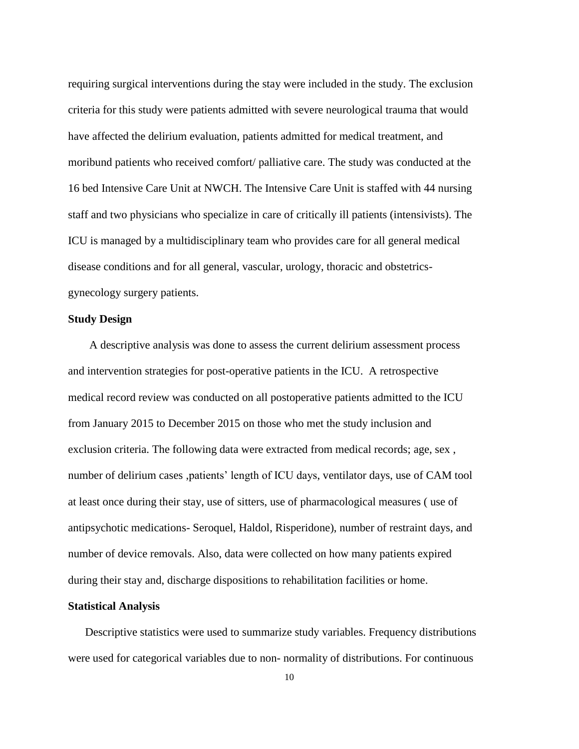requiring surgical interventions during the stay were included in the study. The exclusion criteria for this study were patients admitted with severe neurological trauma that would have affected the delirium evaluation, patients admitted for medical treatment, and moribund patients who received comfort/ palliative care. The study was conducted at the 16 bed Intensive Care Unit at NWCH. The Intensive Care Unit is staffed with 44 nursing staff and two physicians who specialize in care of critically ill patients (intensivists). The ICU is managed by a multidisciplinary team who provides care for all general medical disease conditions and for all general, vascular, urology, thoracic and obstetricsgynecology surgery patients.

#### <span id="page-15-0"></span>**Study Design**

A descriptive analysis was done to assess the current delirium assessment process and intervention strategies for post-operative patients in the ICU. A retrospective medical record review was conducted on all postoperative patients admitted to the ICU from January 2015 to December 2015 on those who met the study inclusion and exclusion criteria. The following data were extracted from medical records; age, sex , number of delirium cases ,patients' length of ICU days, ventilator days, use of CAM tool at least once during their stay, use of sitters, use of pharmacological measures ( use of antipsychotic medications- Seroquel, Haldol, Risperidone), number of restraint days, and number of device removals. Also, data were collected on how many patients expired during their stay and, discharge dispositions to rehabilitation facilities or home.

#### <span id="page-15-1"></span>**Statistical Analysis**

Descriptive statistics were used to summarize study variables. Frequency distributions were used for categorical variables due to non- normality of distributions. For continuous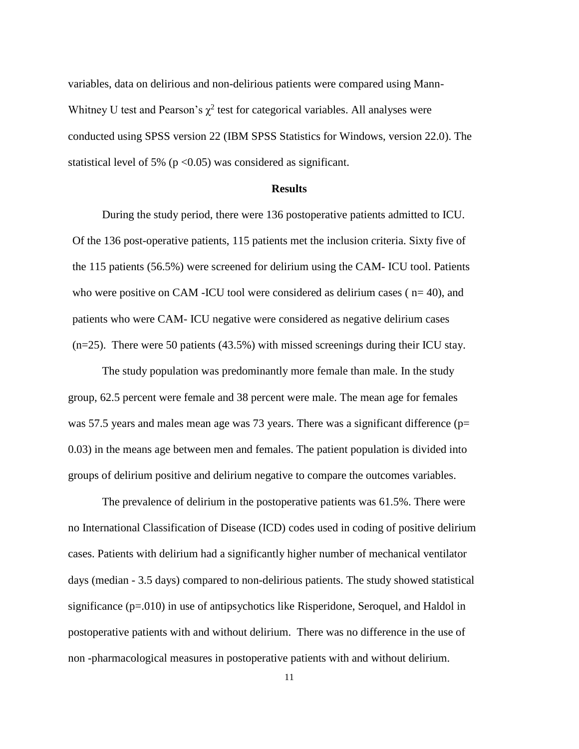variables, data on delirious and non-delirious patients were compared using Mann-Whitney U test and Pearson's  $\chi^2$  test for categorical variables. All analyses were conducted using SPSS version 22 (IBM SPSS Statistics for Windows, version 22.0). The statistical level of 5% ( $p < 0.05$ ) was considered as significant.

#### **Results**

<span id="page-16-0"></span>During the study period, there were 136 postoperative patients admitted to ICU. Of the 136 post-operative patients, 115 patients met the inclusion criteria. Sixty five of the 115 patients (56.5%) were screened for delirium using the CAM- ICU tool. Patients who were positive on CAM -ICU tool were considered as delirium cases ( $n=40$ ), and patients who were CAM- ICU negative were considered as negative delirium cases  $(n=25)$ . There were 50 patients (43.5%) with missed screenings during their ICU stay.

The study population was predominantly more female than male. In the study group, 62.5 percent were female and 38 percent were male. The mean age for females was 57.5 years and males mean age was 73 years. There was a significant difference (p= 0.03) in the means age between men and females. The patient population is divided into groups of delirium positive and delirium negative to compare the outcomes variables.

The prevalence of delirium in the postoperative patients was 61.5%. There were no International Classification of Disease (ICD) codes used in coding of positive delirium cases. Patients with delirium had a significantly higher number of mechanical ventilator days (median - 3.5 days) compared to non-delirious patients. The study showed statistical significance (p=.010) in use of antipsychotics like Risperidone, Seroquel, and Haldol in postoperative patients with and without delirium. There was no difference in the use of non -pharmacological measures in postoperative patients with and without delirium.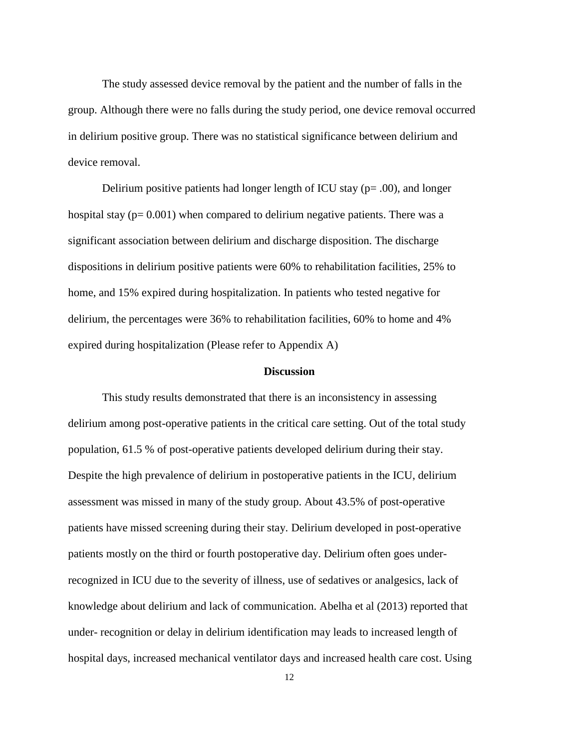The study assessed device removal by the patient and the number of falls in the group. Although there were no falls during the study period, one device removal occurred in delirium positive group. There was no statistical significance between delirium and device removal.

Delirium positive patients had longer length of ICU stay  $(p= .00)$ , and longer hospital stay ( $p= 0.001$ ) when compared to delirium negative patients. There was a significant association between delirium and discharge disposition. The discharge dispositions in delirium positive patients were 60% to rehabilitation facilities, 25% to home, and 15% expired during hospitalization. In patients who tested negative for delirium, the percentages were 36% to rehabilitation facilities, 60% to home and 4% expired during hospitalization (Please refer to Appendix A)

#### **Discussion**

<span id="page-17-0"></span>This study results demonstrated that there is an inconsistency in assessing delirium among post-operative patients in the critical care setting. Out of the total study population, 61.5 % of post-operative patients developed delirium during their stay. Despite the high prevalence of delirium in postoperative patients in the ICU, delirium assessment was missed in many of the study group. About 43.5% of post-operative patients have missed screening during their stay. Delirium developed in post-operative patients mostly on the third or fourth postoperative day. Delirium often goes underrecognized in ICU due to the severity of illness, use of sedatives or analgesics, lack of knowledge about delirium and lack of communication. Abelha et al (2013) reported that under- recognition or delay in delirium identification may leads to increased length of hospital days, increased mechanical ventilator days and increased health care cost. Using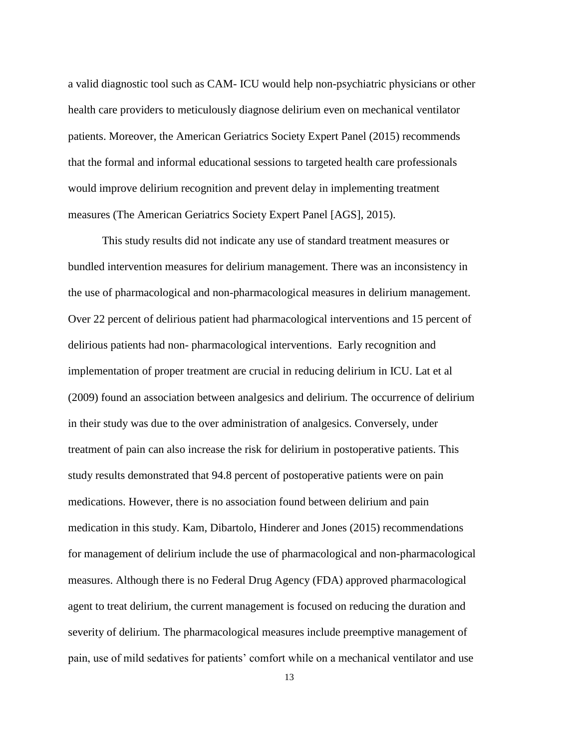a valid diagnostic tool such as CAM- ICU would help non-psychiatric physicians or other health care providers to meticulously diagnose delirium even on mechanical ventilator patients. Moreover, the American Geriatrics Society Expert Panel (2015) recommends that the formal and informal educational sessions to targeted health care professionals would improve delirium recognition and prevent delay in implementing treatment measures (The American Geriatrics Society Expert Panel [AGS], 2015).

This study results did not indicate any use of standard treatment measures or bundled intervention measures for delirium management. There was an inconsistency in the use of pharmacological and non-pharmacological measures in delirium management. Over 22 percent of delirious patient had pharmacological interventions and 15 percent of delirious patients had non- pharmacological interventions. Early recognition and implementation of proper treatment are crucial in reducing delirium in ICU. Lat et al (2009) found an association between analgesics and delirium. The occurrence of delirium in their study was due to the over administration of analgesics. Conversely, under treatment of pain can also increase the risk for delirium in postoperative patients. This study results demonstrated that 94.8 percent of postoperative patients were on pain medications. However, there is no association found between delirium and pain medication in this study. Kam, Dibartolo, Hinderer and Jones (2015) recommendations for management of delirium include the use of pharmacological and non-pharmacological measures. Although there is no Federal Drug Agency (FDA) approved pharmacological agent to treat delirium, the current management is focused on reducing the duration and severity of delirium. The pharmacological measures include preemptive management of pain, use of mild sedatives for patients' comfort while on a mechanical ventilator and use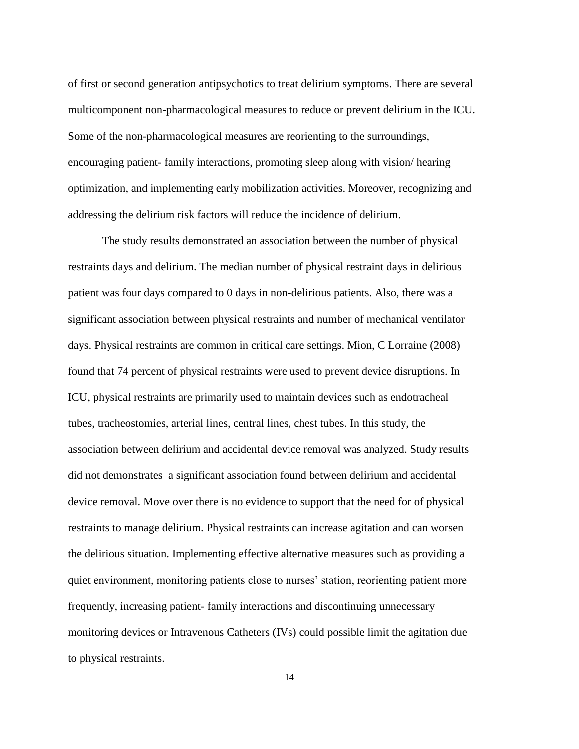of first or second generation antipsychotics to treat delirium symptoms. There are several multicomponent non-pharmacological measures to reduce or prevent delirium in the ICU. Some of the non-pharmacological measures are reorienting to the surroundings, encouraging patient- family interactions, promoting sleep along with vision/ hearing optimization, and implementing early mobilization activities. Moreover, recognizing and addressing the delirium risk factors will reduce the incidence of delirium.

The study results demonstrated an association between the number of physical restraints days and delirium. The median number of physical restraint days in delirious patient was four days compared to 0 days in non-delirious patients. Also, there was a significant association between physical restraints and number of mechanical ventilator days. Physical restraints are common in critical care settings. Mion, C Lorraine (2008) found that 74 percent of physical restraints were used to prevent device disruptions. In ICU, physical restraints are primarily used to maintain devices such as endotracheal tubes, tracheostomies, arterial lines, central lines, chest tubes. In this study, the association between delirium and accidental device removal was analyzed. Study results did not demonstrates a significant association found between delirium and accidental device removal. Move over there is no evidence to support that the need for of physical restraints to manage delirium. Physical restraints can increase agitation and can worsen the delirious situation. Implementing effective alternative measures such as providing a quiet environment, monitoring patients close to nurses' station, reorienting patient more frequently, increasing patient- family interactions and discontinuing unnecessary monitoring devices or Intravenous Catheters (IVs) could possible limit the agitation due to physical restraints.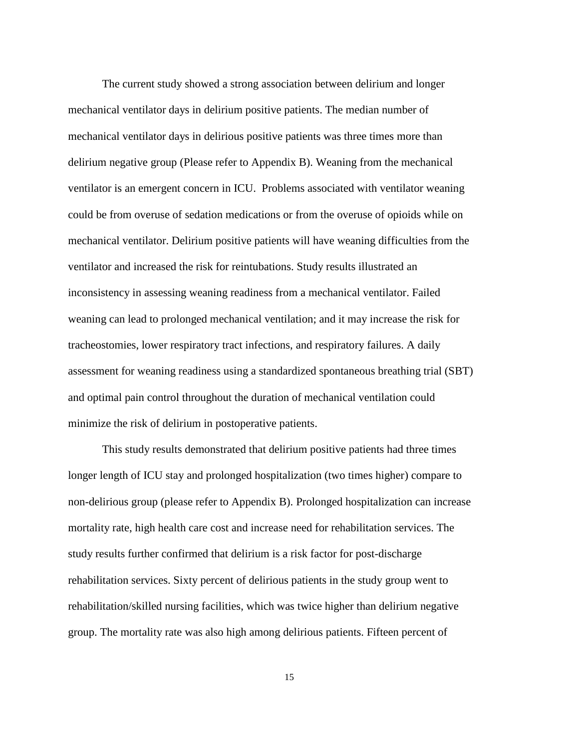The current study showed a strong association between delirium and longer mechanical ventilator days in delirium positive patients. The median number of mechanical ventilator days in delirious positive patients was three times more than delirium negative group (Please refer to Appendix B). Weaning from the mechanical ventilator is an emergent concern in ICU. Problems associated with ventilator weaning could be from overuse of sedation medications or from the overuse of opioids while on mechanical ventilator. Delirium positive patients will have weaning difficulties from the ventilator and increased the risk for reintubations. Study results illustrated an inconsistency in assessing weaning readiness from a mechanical ventilator. Failed weaning can lead to prolonged mechanical ventilation; and it may increase the risk for tracheostomies, lower respiratory tract infections, and respiratory failures. A daily assessment for weaning readiness using a standardized spontaneous breathing trial (SBT) and optimal pain control throughout the duration of mechanical ventilation could minimize the risk of delirium in postoperative patients.

This study results demonstrated that delirium positive patients had three times longer length of ICU stay and prolonged hospitalization (two times higher) compare to non-delirious group (please refer to Appendix B). Prolonged hospitalization can increase mortality rate, high health care cost and increase need for rehabilitation services. The study results further confirmed that delirium is a risk factor for post-discharge rehabilitation services. Sixty percent of delirious patients in the study group went to rehabilitation/skilled nursing facilities, which was twice higher than delirium negative group. The mortality rate was also high among delirious patients. Fifteen percent of

15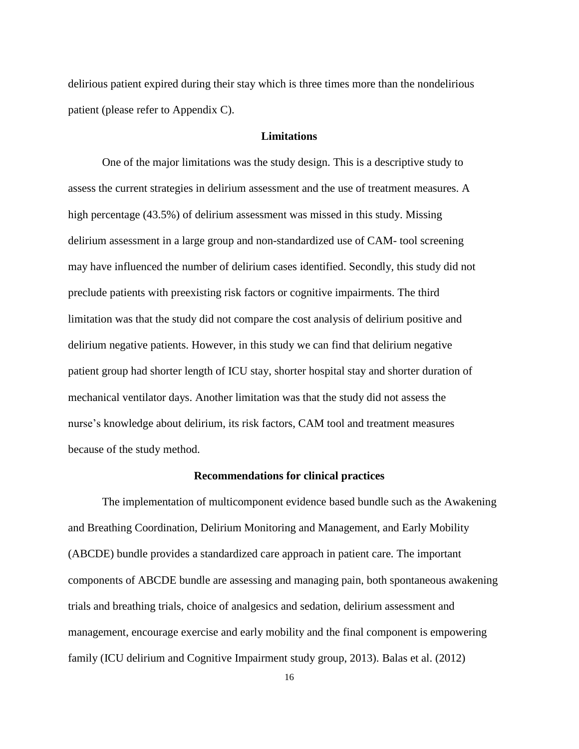delirious patient expired during their stay which is three times more than the nondelirious patient (please refer to Appendix C).

#### **Limitations**

<span id="page-21-0"></span>One of the major limitations was the study design. This is a descriptive study to assess the current strategies in delirium assessment and the use of treatment measures. A high percentage (43.5%) of delirium assessment was missed in this study. Missing delirium assessment in a large group and non-standardized use of CAM- tool screening may have influenced the number of delirium cases identified. Secondly, this study did not preclude patients with preexisting risk factors or cognitive impairments. The third limitation was that the study did not compare the cost analysis of delirium positive and delirium negative patients. However, in this study we can find that delirium negative patient group had shorter length of ICU stay, shorter hospital stay and shorter duration of mechanical ventilator days. Another limitation was that the study did not assess the nurse's knowledge about delirium, its risk factors, CAM tool and treatment measures because of the study method.

#### **Recommendations for clinical practices**

<span id="page-21-1"></span>The implementation of multicomponent evidence based bundle such as the Awakening and Breathing Coordination, Delirium Monitoring and Management, and Early Mobility (ABCDE) bundle provides a standardized care approach in patient care. The important components of ABCDE bundle are assessing and managing pain, both spontaneous awakening trials and breathing trials, choice of analgesics and sedation, delirium assessment and management, encourage exercise and early mobility and the final component is empowering family (ICU delirium and Cognitive Impairment study group, 2013). Balas et al. (2012)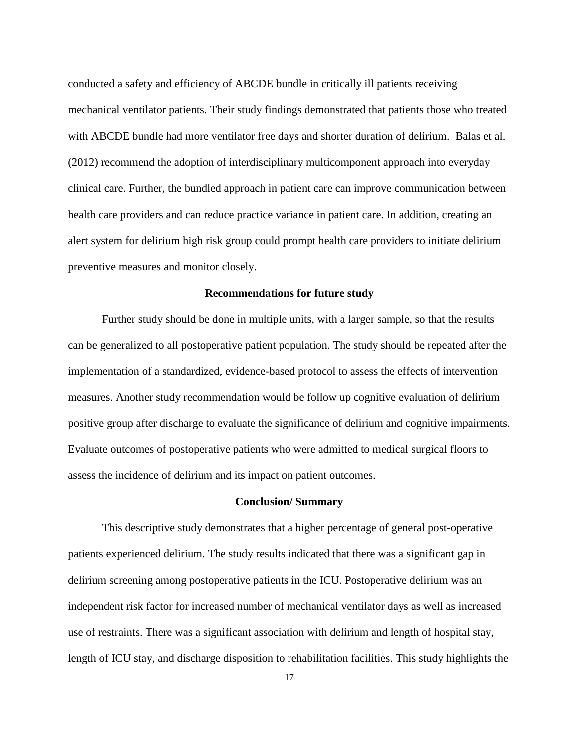conducted a safety and efficiency of ABCDE bundle in critically ill patients receiving mechanical ventilator patients. Their study findings demonstrated that patients those who treated with ABCDE bundle had more ventilator free days and shorter duration of delirium. Balas et al. (2012) recommend the adoption of interdisciplinary multicomponent approach into everyday clinical care. Further, the bundled approach in patient care can improve communication between health care providers and can reduce practice variance in patient care. In addition, creating an alert system for delirium high risk group could prompt health care providers to initiate delirium preventive measures and monitor closely.

#### **Recommendations for future study**

<span id="page-22-0"></span>Further study should be done in multiple units, with a larger sample, so that the results can be generalized to all postoperative patient population. The study should be repeated after the implementation of a standardized, evidence-based protocol to assess the effects of intervention measures. Another study recommendation would be follow up cognitive evaluation of delirium positive group after discharge to evaluate the significance of delirium and cognitive impairments. Evaluate outcomes of postoperative patients who were admitted to medical surgical floors to assess the incidence of delirium and its impact on patient outcomes.

#### **Conclusion/ Summary**

<span id="page-22-1"></span>This descriptive study demonstrates that a higher percentage of general post-operative patients experienced delirium. The study results indicated that there was a significant gap in delirium screening among postoperative patients in the ICU. Postoperative delirium was an independent risk factor for increased number of mechanical ventilator days as well as increased use of restraints. There was a significant association with delirium and length of hospital stay, length of ICU stay, and discharge disposition to rehabilitation facilities. This study highlights the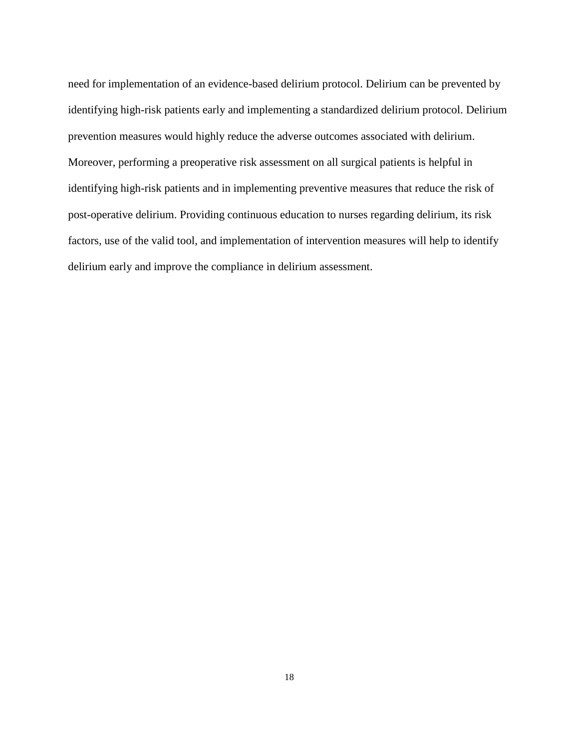need for implementation of an evidence-based delirium protocol. Delirium can be prevented by identifying high-risk patients early and implementing a standardized delirium protocol. Delirium prevention measures would highly reduce the adverse outcomes associated with delirium. Moreover, performing a preoperative risk assessment on all surgical patients is helpful in identifying high-risk patients and in implementing preventive measures that reduce the risk of post-operative delirium. Providing continuous education to nurses regarding delirium, its risk factors, use of the valid tool, and implementation of intervention measures will help to identify delirium early and improve the compliance in delirium assessment.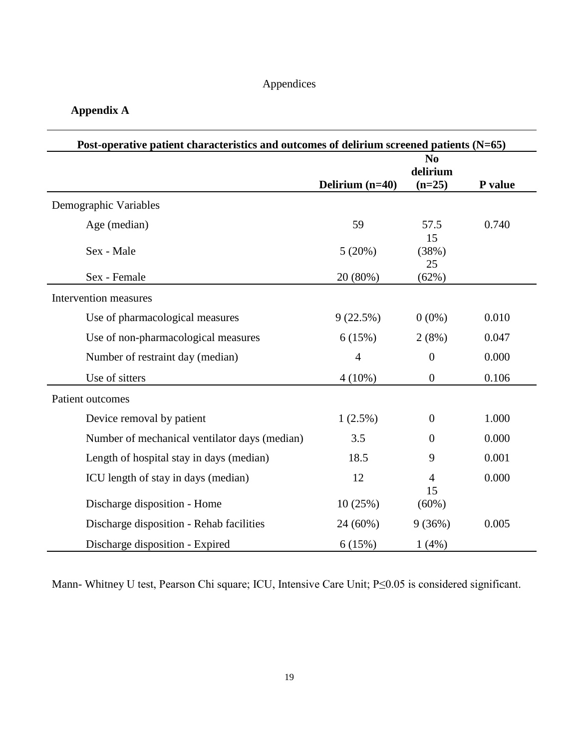## Appendices

# <span id="page-24-1"></span><span id="page-24-0"></span>**Appendix A**

| Post-operative patient characteristics and outcomes of delirium screened patients (N=65) |                   |                                        |         |  |
|------------------------------------------------------------------------------------------|-------------------|----------------------------------------|---------|--|
|                                                                                          | Delirium $(n=40)$ | N <sub>0</sub><br>delirium<br>$(n=25)$ | P value |  |
| Demographic Variables                                                                    |                   |                                        |         |  |
| Age (median)                                                                             | 59                | 57.5<br>15                             | 0.740   |  |
| Sex - Male                                                                               | 5(20%)            | (38%)<br>25                            |         |  |
| Sex - Female                                                                             | 20 (80%)          | (62%)                                  |         |  |
| Intervention measures                                                                    |                   |                                        |         |  |
| Use of pharmacological measures                                                          | 9(22.5%)          | $0(0\%)$                               | 0.010   |  |
| Use of non-pharmacological measures                                                      | 6(15%)            | 2(8%)                                  | 0.047   |  |
| Number of restraint day (median)                                                         | $\overline{4}$    | $\mathbf{0}$                           | 0.000   |  |
| Use of sitters                                                                           | $4(10\%)$         | $\boldsymbol{0}$                       | 0.106   |  |
| Patient outcomes                                                                         |                   |                                        |         |  |
| Device removal by patient                                                                | 1(2.5%)           | $\theta$                               | 1.000   |  |
| Number of mechanical ventilator days (median)                                            | 3.5               | $\overline{0}$                         | 0.000   |  |
| Length of hospital stay in days (median)                                                 | 18.5              | 9                                      | 0.001   |  |
| ICU length of stay in days (median)                                                      | 12                | 4<br>15                                | 0.000   |  |
| Discharge disposition - Home                                                             | 10(25%)           | (60%)                                  |         |  |
| Discharge disposition - Rehab facilities                                                 | 24 (60%)          | 9(36%)                                 | 0.005   |  |
| Discharge disposition - Expired                                                          | 6(15%)            | 1(4%)                                  |         |  |

Mann- Whitney U test, Pearson Chi square; ICU, Intensive Care Unit; P≤0.05 is considered significant.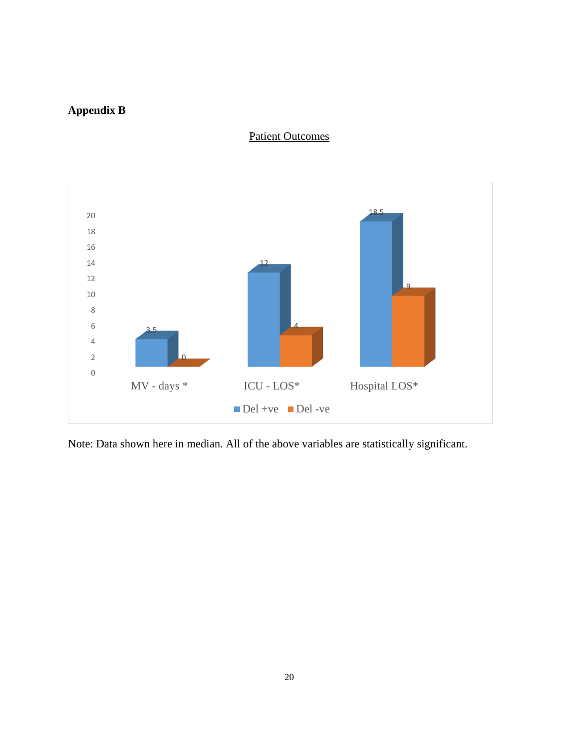# <span id="page-25-0"></span>**Appendix B**

## Patient Outcomes



Note: Data shown here in median. All of the above variables are statistically significant.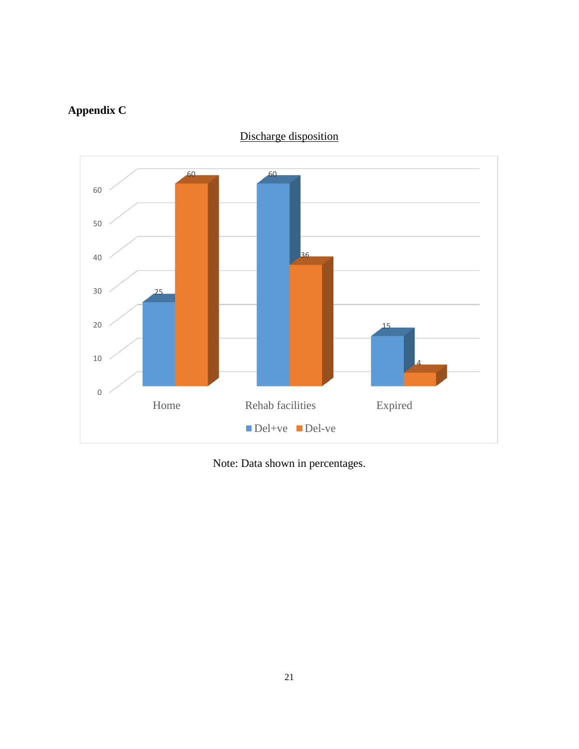# <span id="page-26-0"></span>**Appendix C**



Discharge disposition

Note: Data shown in percentages.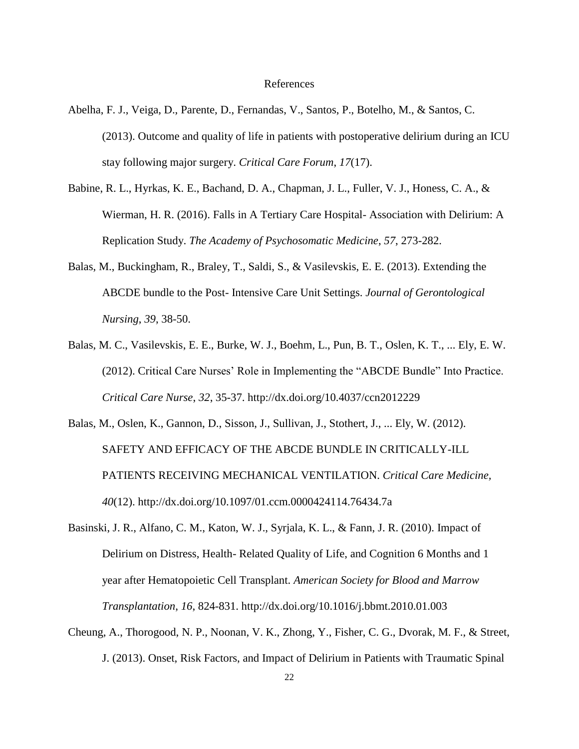#### References

- <span id="page-27-0"></span>Abelha, F. J., Veiga, D., Parente, D., Fernandas, V., Santos, P., Botelho, M., & Santos, C. (2013). Outcome and quality of life in patients with postoperative delirium during an ICU stay following major surgery. *Critical Care Forum*, *17*(17).
- Babine, R. L., Hyrkas, K. E., Bachand, D. A., Chapman, J. L., Fuller, V. J., Honess, C. A., & Wierman, H. R. (2016). Falls in A Tertiary Care Hospital- Association with Delirium: A Replication Study. *The Academy of Psychosomatic Medicine*, *57*, 273-282.
- Balas, M., Buckingham, R., Braley, T., Saldi, S., & Vasilevskis, E. E. (2013). Extending the ABCDE bundle to the Post- Intensive Care Unit Settings. *Journal of Gerontological Nursing*, *39*, 38-50.
- Balas, M. C., Vasilevskis, E. E., Burke, W. J., Boehm, L., Pun, B. T., Oslen, K. T., ... Ely, E. W. (2012). Critical Care Nurses' Role in Implementing the "ABCDE Bundle" Into Practice. *Critical Care Nurse*, *32*, 35-37. http://dx.doi.org/10.4037/ccn2012229
- Balas, M., Oslen, K., Gannon, D., Sisson, J., Sullivan, J., Stothert, J., ... Ely, W. (2012). SAFETY AND EFFICACY OF THE ABCDE BUNDLE IN CRITICALLY-ILL PATIENTS RECEIVING MECHANICAL VENTILATION. *Critical Care Medicine, 40*(12). http://dx.doi.org/10.1097/01.ccm.0000424114.76434.7a
- Basinski, J. R., Alfano, C. M., Katon, W. J., Syrjala, K. L., & Fann, J. R. (2010). Impact of Delirium on Distress, Health- Related Quality of Life, and Cognition 6 Months and 1 year after Hematopoietic Cell Transplant. *American Society for Blood and Marrow Transplantation*, *16*, 824-831. http://dx.doi.org/10.1016/j.bbmt.2010.01.003
- Cheung, A., Thorogood, N. P., Noonan, V. K., Zhong, Y., Fisher, C. G., Dvorak, M. F., & Street, J. (2013). Onset, Risk Factors, and Impact of Delirium in Patients with Traumatic Spinal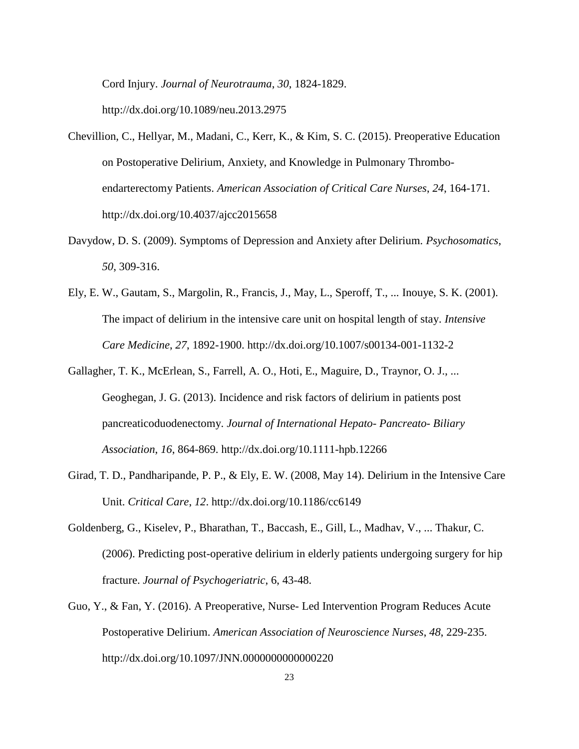Cord Injury. *Journal of Neurotrauma*, *30*, 1824-1829.

http://dx.doi.org/10.1089/neu.2013.2975

- Chevillion, C., Hellyar, M., Madani, C., Kerr, K., & Kim, S. C. (2015). Preoperative Education on Postoperative Delirium, Anxiety, and Knowledge in Pulmonary Thromboendarterectomy Patients. *American Association of Critical Care Nurses*, *24*, 164-171. http://dx.doi.org/10.4037/ajcc2015658
- Davydow, D. S. (2009). Symptoms of Depression and Anxiety after Delirium. *Psychosomatics*, *50*, 309-316.
- Ely, E. W., Gautam, S., Margolin, R., Francis, J., May, L., Speroff, T., ... Inouye, S. K. (2001). The impact of delirium in the intensive care unit on hospital length of stay. *Intensive Care Medicine*, *27*, 1892-1900. http://dx.doi.org/10.1007/s00134-001-1132-2
- Gallagher, T. K., McErlean, S., Farrell, A. O., Hoti, E., Maguire, D., Traynor, O. J., ... Geoghegan, J. G. (2013). Incidence and risk factors of delirium in patients post pancreaticoduodenectomy. *Journal of International Hepato- Pancreato- Biliary Association*, *16*, 864-869. http://dx.doi.org/10.1111-hpb.12266
- Girad, T. D., Pandharipande, P. P., & Ely, E. W. (2008, May 14). Delirium in the Intensive Care Unit. *Critical Care*, *12*. http://dx.doi.org/10.1186/cc6149
- Goldenberg, G., Kiselev, P., Bharathan, T., Baccash, E., Gill, L., Madhav, V., ... Thakur, C. (200*6*). Predicting post-operative delirium in elderly patients undergoing surgery for hip fracture. *Journal of Psychogeriatric*, 6, 43-48.
- Guo, Y., & Fan, Y. (2016). A Preoperative, Nurse- Led Intervention Program Reduces Acute Postoperative Delirium. *American Association of Neuroscience Nurses*, *48*, 229-235. http://dx.doi.org/10.1097/JNN.0000000000000220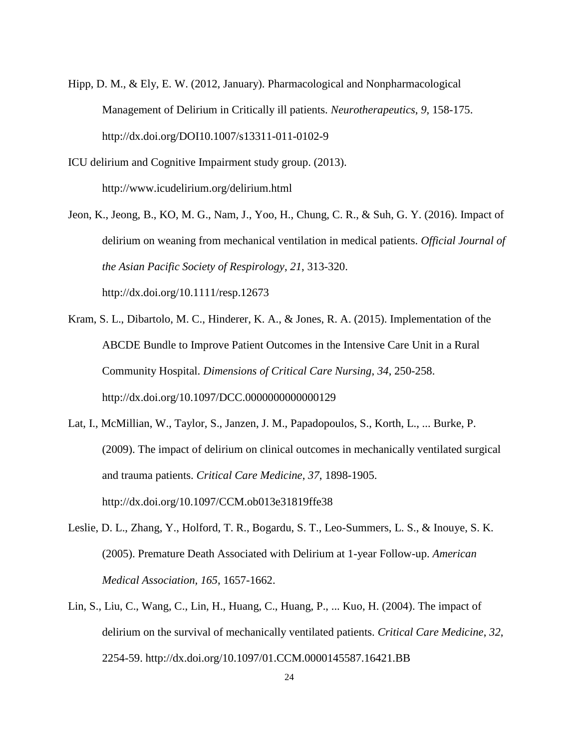- Hipp, D. M., & Ely, E. W. (2012, January). Pharmacological and Nonpharmacological Management of Delirium in Critically ill patients. *Neurotherapeutics*, *9*, 158-175. http://dx.doi.org/DOI10.1007/s13311-011-0102-9
- ICU delirium and Cognitive Impairment study group. (2013). http://www.icudelirium.org/delirium.html
- Jeon, K., Jeong, B., KO, M. G., Nam, J., Yoo, H., Chung, C. R., & Suh, G. Y. (2016). Impact of delirium on weaning from mechanical ventilation in medical patients. *Official Journal of the Asian Pacific Society of Respirology*, *21*, 313-320. http://dx.doi.org/10.1111/resp.12673
- Kram, S. L., Dibartolo, M. C., Hinderer, K. A., & Jones, R. A. (2015). Implementation of the ABCDE Bundle to Improve Patient Outcomes in the Intensive Care Unit in a Rural Community Hospital. *Dimensions of Critical Care Nursing*, *34*, 250-258. http://dx.doi.org/10.1097/DCC.0000000000000129
- Lat, I., McMillian, W., Taylor, S., Janzen, J. M., Papadopoulos, S., Korth, L., ... Burke, P. (2009). The impact of delirium on clinical outcomes in mechanically ventilated surgical and trauma patients. *Critical Care Medicine*, *37*, 1898-1905. http://dx.doi.org/10.1097/CCM.ob013e31819ffe38
- Leslie, D. L., Zhang, Y., Holford, T. R., Bogardu, S. T., Leo-Summers, L. S., & Inouye, S. K. (2005). Premature Death Associated with Delirium at 1-year Follow-up. *American Medical Association, 165*, 1657-1662.
- Lin, S., Liu, C., Wang, C., Lin, H., Huang, C., Huang, P., ... Kuo, H. (2004). The impact of delirium on the survival of mechanically ventilated patients. *Critical Care Medicine*, *32*, 2254-59. http://dx.doi.org/10.1097/01.CCM.0000145587.16421.BB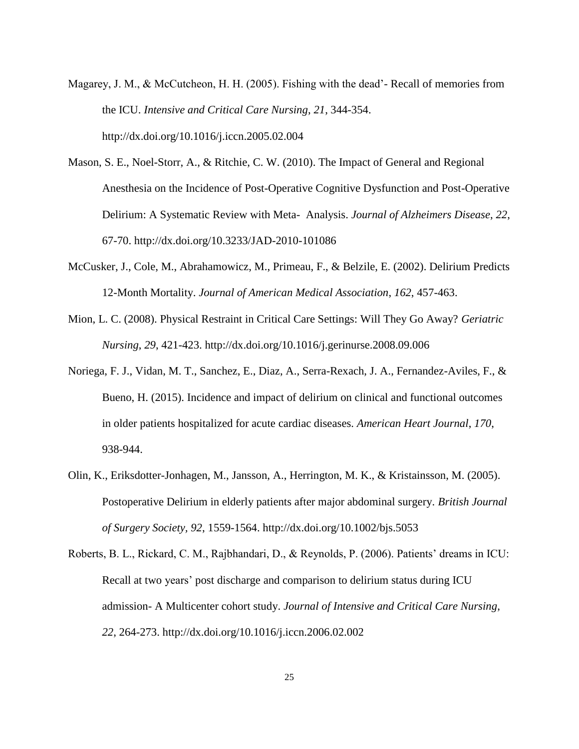- Magarey, J. M., & McCutcheon, H. H. (2005). Fishing with the dead'- Recall of memories from the ICU. *Intensive and Critical Care Nursing*, *21*, 344-354. http://dx.doi.org/10.1016/j.iccn.2005.02.004
- Mason, S. E., Noel-Storr, A., & Ritchie, C. W. (2010). The Impact of General and Regional Anesthesia on the Incidence of Post-Operative Cognitive Dysfunction and Post-Operative Delirium: A Systematic Review with Meta- Analysis. *Journal of Alzheimers Disease*, *22*, 67-70. http://dx.doi.org/10.3233/JAD-2010-101086
- McCusker, J., Cole, M., Abrahamowicz, M., Primeau, F., & Belzile, E. (2002). Delirium Predicts 12-Month Mortality. *Journal of American Medical Association*, *162*, 457-463.
- Mion, L. C. (2008). Physical Restraint in Critical Care Settings: Will They Go Away? *Geriatric Nursing*, *29*, 421-423. http://dx.doi.org/10.1016/j.gerinurse.2008.09.006
- Noriega, F. J., Vidan, M. T., Sanchez, E., Diaz, A., Serra-Rexach, J. A., Fernandez-Aviles, F., & Bueno, H. (2015). Incidence and impact of delirium on clinical and functional outcomes in older patients hospitalized for acute cardiac diseases. *American Heart Journal*, *170*, 938-944.
- Olin, K., Eriksdotter-Jonhagen, M., Jansson, A., Herrington, M. K., & Kristainsson, M. (2005). Postoperative Delirium in elderly patients after major abdominal surgery. *British Journal of Surgery Society, 92*, 1559-1564. http://dx.doi.org/10.1002/bjs.5053
- Roberts, B. L., Rickard, C. M., Rajbhandari, D., & Reynolds, P. (2006). Patients' dreams in ICU: Recall at two years' post discharge and comparison to delirium status during ICU admission- A Multicenter cohort study. *Journal of Intensive and Critical Care Nursing*, *22*, 264-273. http://dx.doi.org/10.1016/j.iccn.2006.02.002